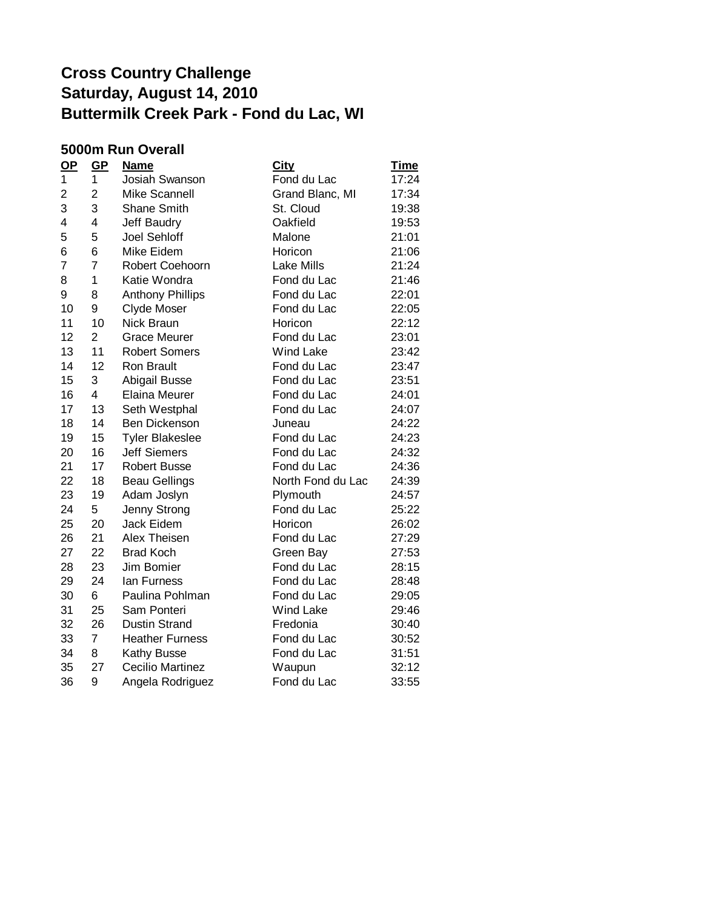#### **5000m Run Overall**

| $\mathbf{Q}$ | $GP$           | <b>Name</b>             | <u>City</u>       | <u>Time</u> |
|--------------|----------------|-------------------------|-------------------|-------------|
| 1            | 1              | Josiah Swanson          | Fond du Lac       | 17:24       |
| 2            | $\overline{2}$ | Mike Scannell           | Grand Blanc, MI   | 17:34       |
| 3            | 3              | <b>Shane Smith</b>      | St. Cloud         | 19:38       |
| 4            | 4              | Jeff Baudry             | Oakfield          | 19:53       |
| 5            | 5              | <b>Joel Sehloff</b>     | Malone            | 21:01       |
| 6            | 6              | Mike Eidem              | Horicon           | 21:06       |
| 7            | $\overline{7}$ | Robert Coehoorn         | <b>Lake Mills</b> | 21:24       |
| 8            | $\mathbf{1}$   | Katie Wondra            | Fond du Lac       | 21:46       |
| 9            | 8              | <b>Anthony Phillips</b> | Fond du Lac       | 22:01       |
| 10           | 9              | <b>Clyde Moser</b>      | Fond du Lac       | 22:05       |
| 11           | 10             | Nick Braun              | Horicon           | 22:12       |
| 12           | $\overline{2}$ | <b>Grace Meurer</b>     | Fond du Lac       | 23:01       |
| 13           | 11             | <b>Robert Somers</b>    | <b>Wind Lake</b>  | 23:42       |
| 14           | 12             | <b>Ron Brault</b>       | Fond du Lac       | 23:47       |
| 15           | 3              | Abigail Busse           | Fond du Lac       | 23:51       |
| 16           | 4              | Elaina Meurer           | Fond du Lac       | 24:01       |
| 17           | 13             | Seth Westphal           | Fond du Lac       | 24:07       |
| 18           | 14             | <b>Ben Dickenson</b>    | Juneau            | 24:22       |
| 19           | 15             | <b>Tyler Blakeslee</b>  | Fond du Lac       | 24:23       |
| 20           | 16             | <b>Jeff Siemers</b>     | Fond du Lac       | 24:32       |
| 21           | 17             | <b>Robert Busse</b>     | Fond du Lac       | 24:36       |
| 22           | 18             | <b>Beau Gellings</b>    | North Fond du Lac | 24:39       |
| 23           | 19             | Adam Joslyn             | Plymouth          | 24:57       |
| 24           | 5              | Jenny Strong            | Fond du Lac       | 25:22       |
| 25           | 20             | Jack Eidem              | Horicon           | 26:02       |
| 26           | 21             | Alex Theisen            | Fond du Lac       | 27:29       |
| 27           | 22             | <b>Brad Koch</b>        | Green Bay         | 27:53       |
| 28           | 23             | Jim Bomier              | Fond du Lac       | 28:15       |
| 29           | 24             | lan Furness             | Fond du Lac       | 28:48       |
| 30           | 6              | Paulina Pohlman         | Fond du Lac       | 29:05       |
| 31           | 25             | Sam Ponteri             | <b>Wind Lake</b>  | 29:46       |
| 32           | 26             | <b>Dustin Strand</b>    | Fredonia          | 30:40       |
| 33           | $\overline{7}$ | <b>Heather Furness</b>  | Fond du Lac       | 30:52       |
| 34           | 8              | <b>Kathy Busse</b>      | Fond du Lac       | 31:51       |
| 35           | 27             | <b>Cecilio Martinez</b> | Waupun            | 32:12       |
| 36           | 9              | Angela Rodriguez        | Fond du Lac       | 33:55       |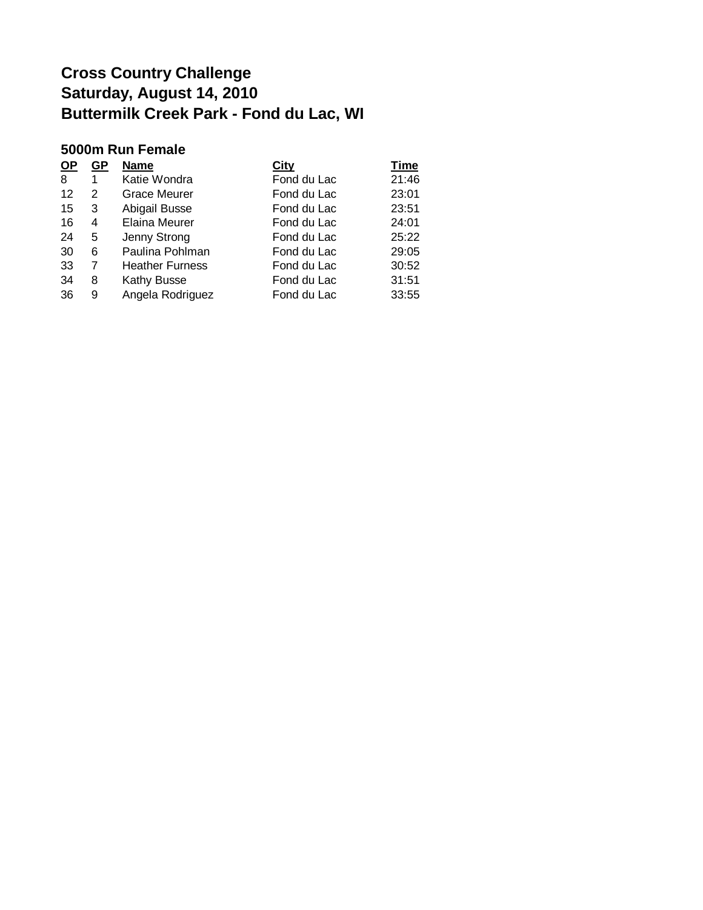#### **5000m Run Female**

| <u>OP</u> | GP | <b>Name</b>            | City        | <b>Time</b> |
|-----------|----|------------------------|-------------|-------------|
| 8         | 1  | Katie Wondra           | Fond du Lac | 21:46       |
| 12        | 2  | <b>Grace Meurer</b>    | Fond du Lac | 23:01       |
| 15        | 3  | Abigail Busse          | Fond du Lac | 23:51       |
| 16        | 4  | <b>Elaina Meurer</b>   | Fond du Lac | 24:01       |
| 24        | 5  | Jenny Strong           | Fond du Lac | 25:22       |
| 30        | 6  | Paulina Pohlman        | Fond du Lac | 29:05       |
| 33        | 7  | <b>Heather Furness</b> | Fond du Lac | 30:52       |
| 34        | 8  | Kathy Busse            | Fond du Lac | 31:51       |
| 36        | 9  | Angela Rodriguez       | Fond du Lac | 33:55       |
|           |    |                        |             |             |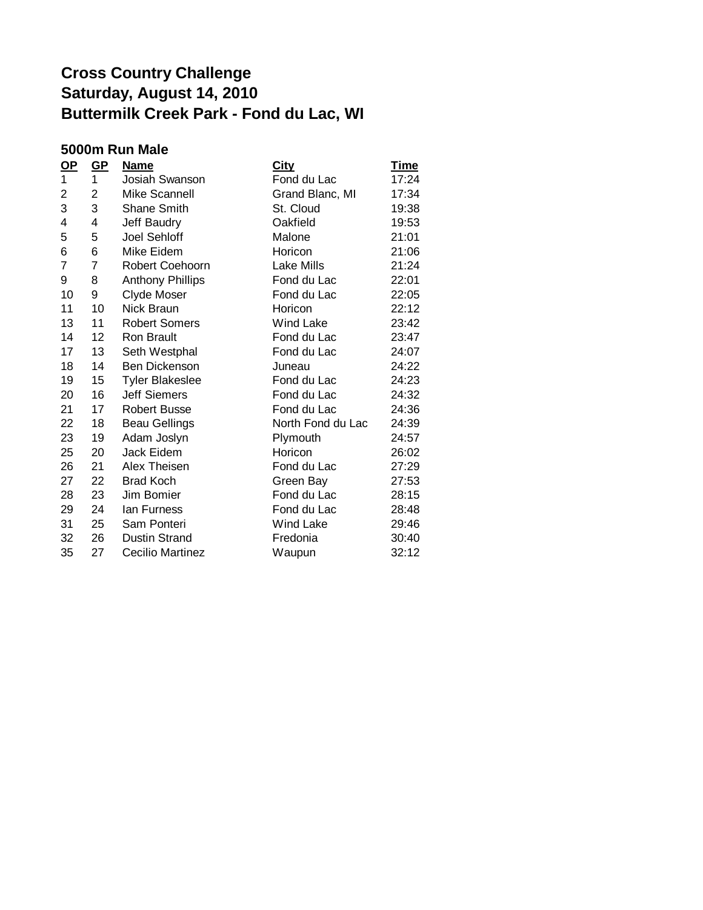### **5000m Run Male**

| <u>OP</u>      | $GP$ | <b>Name</b>             | <b>City</b>       | <u>Time</u> |
|----------------|------|-------------------------|-------------------|-------------|
| 1              | 1    | Josiah Swanson          | Fond du Lac       | 17:24       |
| 2              | 2    | <b>Mike Scannell</b>    | Grand Blanc, MI   | 17:34       |
| 3              | 3    | <b>Shane Smith</b>      | St. Cloud         | 19:38       |
| 4              | 4    | Jeff Baudry             | Oakfield          | 19:53       |
| 5              | 5    | <b>Joel Sehloff</b>     | Malone            | 21:01       |
| 6              | 6    | Mike Eidem              | Horicon           | 21:06       |
| $\overline{7}$ | 7    | Robert Coehoorn         | <b>Lake Mills</b> | 21:24       |
| 9              | 8    | <b>Anthony Phillips</b> | Fond du Lac       | 22:01       |
| 10             | 9    | Clyde Moser             | Fond du Lac       | 22:05       |
| 11             | 10   | Nick Braun              | Horicon           | 22:12       |
| 13             | 11   | <b>Robert Somers</b>    | <b>Wind Lake</b>  | 23:42       |
| 14             | 12   | <b>Ron Brault</b>       | Fond du Lac       | 23:47       |
| 17             | 13   | Seth Westphal           | Fond du Lac       | 24:07       |
| 18             | 14   | <b>Ben Dickenson</b>    | Juneau            | 24:22       |
| 19             | 15   | <b>Tyler Blakeslee</b>  | Fond du Lac       | 24:23       |
| 20             | 16   | <b>Jeff Siemers</b>     | Fond du Lac       | 24:32       |
| 21             | 17   | <b>Robert Busse</b>     | Fond du Lac       | 24:36       |
| 22             | 18   | <b>Beau Gellings</b>    | North Fond du Lac | 24:39       |
| 23             | 19   | Adam Joslyn             | Plymouth          | 24:57       |
| 25             | 20   | Jack Eidem              | Horicon           | 26:02       |
| 26             | 21   | Alex Theisen            | Fond du Lac       | 27:29       |
| 27             | 22   | <b>Brad Koch</b>        | Green Bay         | 27:53       |
| 28             | 23   | Jim Bomier              | Fond du Lac       | 28:15       |
| 29             | 24   | lan Furness             | Fond du Lac       | 28:48       |
| 31             | 25   | Sam Ponteri             | Wind Lake         | 29:46       |
| 32             | 26   | <b>Dustin Strand</b>    | Fredonia          | 30:40       |
| 35             | 27   | <b>Cecilio Martinez</b> | Waupun            | 32:12       |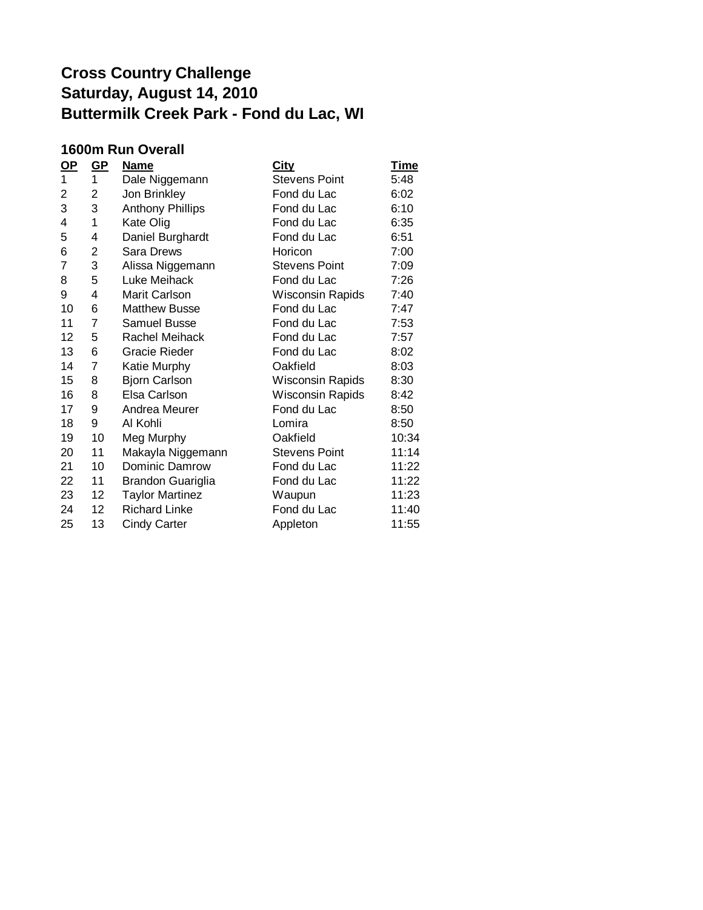#### **1600m Run Overall**

| <u>OP</u> | $GP$            | <b>Name</b>             | <u>City</u>             | <b>Time</b> |
|-----------|-----------------|-------------------------|-------------------------|-------------|
| 1         | 1               | Dale Niggemann          | <b>Stevens Point</b>    | 5:48        |
| 2         | 2               | Jon Brinkley            | Fond du Lac             | 6:02        |
| 3         | 3               | <b>Anthony Phillips</b> | Fond du Lac             | 6:10        |
| 4         | 1               | Kate Olig               | Fond du Lac             | 6:35        |
| 5         | 4               | Daniel Burghardt        | Fond du Lac             | 6:51        |
| 6         | 2               | Sara Drews              | Horicon                 | 7:00        |
| 7         | 3               | Alissa Niggemann        | <b>Stevens Point</b>    | 7:09        |
| 8         | 5               | Luke Meihack            | Fond du Lac             | 7:26        |
| 9         | 4               | Marit Carlson           | Wisconsin Rapids        | 7:40        |
| 10        | 6               | <b>Matthew Busse</b>    | Fond du Lac             | 7:47        |
| 11        | $\overline{7}$  | Samuel Busse            | Fond du Lac             | 7:53        |
| 12        | 5               | Rachel Meihack          | Fond du Lac             | 7:57        |
| 13        | 6               | <b>Gracie Rieder</b>    | Fond du Lac             | 8:02        |
| 14        | 7               | Katie Murphy            | Oakfield                | 8:03        |
| 15        | 8               | <b>Bjorn Carlson</b>    | Wisconsin Rapids        | 8:30        |
| 16        | 8               | Elsa Carlson            | <b>Wisconsin Rapids</b> | 8:42        |
| 17        | 9               | Andrea Meurer           | Fond du Lac             | 8:50        |
| 18        | 9               | Al Kohli                | Lomira                  | 8:50        |
| 19        | 10              | Meg Murphy              | Oakfield                | 10:34       |
| 20        | 11              | Makayla Niggemann       | <b>Stevens Point</b>    | 11:14       |
| 21        | 10              | Dominic Damrow          | Fond du Lac             | 11:22       |
| 22        | 11              | Brandon Guariglia       | Fond du Lac             | 11:22       |
| 23        | 12 <sub>2</sub> | <b>Taylor Martinez</b>  | Waupun                  | 11:23       |
| 24        | 12 <sub>2</sub> | <b>Richard Linke</b>    | Fond du Lac             | 11:40       |
| 25        | 13              | <b>Cindy Carter</b>     | Appleton                | 11:55       |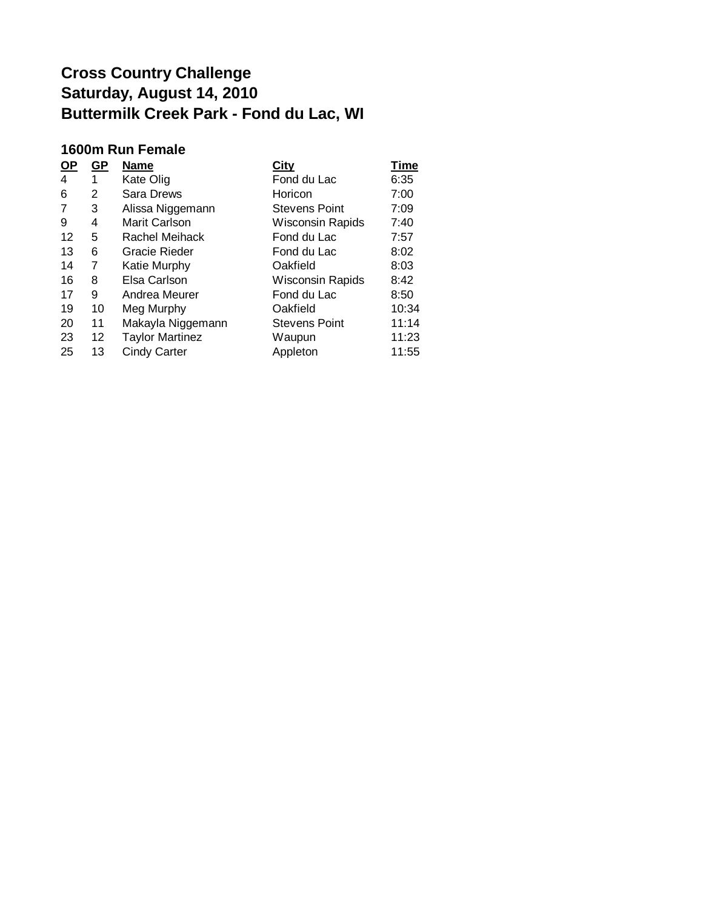### **1600m Run Female**

| $OP$ | GP | <b>Name</b>            | City                    | <b>Time</b> |
|------|----|------------------------|-------------------------|-------------|
| 4    | 1  | Kate Olig              | Fond du Lac             | 6:35        |
| 6    | 2  | <b>Sara Drews</b>      | Horicon                 | 7:00        |
| 7    | 3  | Alissa Niggemann       | <b>Stevens Point</b>    | 7:09        |
| 9    | 4  | Marit Carlson          | <b>Wisconsin Rapids</b> | 7:40        |
| 12   | 5  | Rachel Meihack         | Fond du Lac             | 7:57        |
| 13   | 6  | Gracie Rieder          | Fond du Lac             | 8:02        |
| 14   | 7  | Katie Murphy           | Oakfield                | 8:03        |
| 16   | 8  | Elsa Carlson           | Wisconsin Rapids        | 8:42        |
| 17   | 9  | Andrea Meurer          | Fond du Lac             | 8:50        |
| 19   | 10 | Meg Murphy             | Oakfield                | 10:34       |
| 20   | 11 | Makayla Niggemann      | <b>Stevens Point</b>    | 11:14       |
| 23   | 12 | <b>Taylor Martinez</b> | Waupun                  | 11:23       |
| 25   | 13 | <b>Cindy Carter</b>    | Appleton                | 11:55       |
|      |    |                        |                         |             |